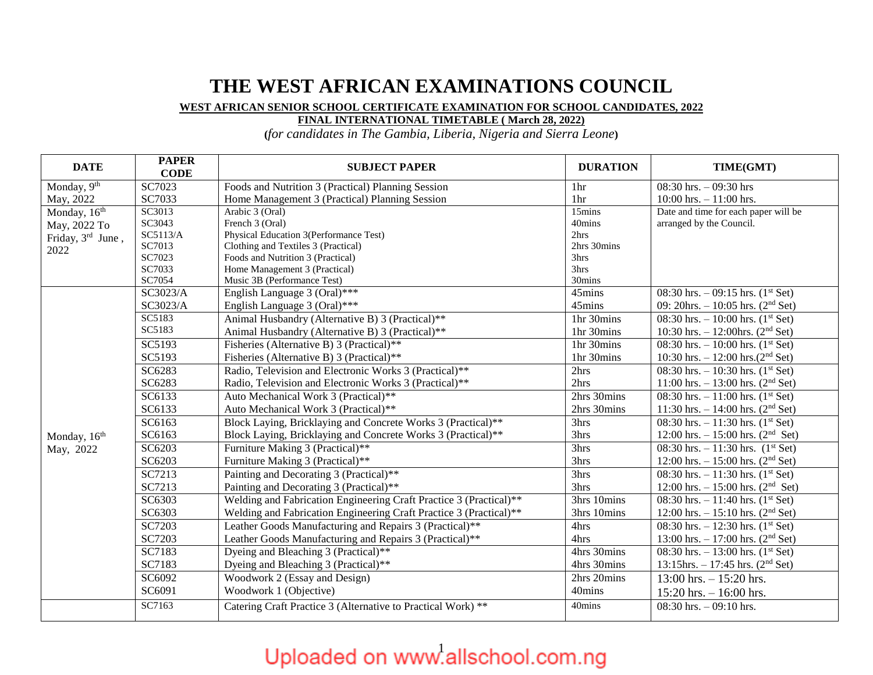### **THE WEST AFRICAN EXAMINATIONS COUNCIL**

### **WEST AFRICAN SENIOR SCHOOL CERTIFICATE EXAMINATION FOR SCHOOL CANDIDATES, 2022**

### **FINAL INTERNATIONAL TIMETABLE ( March 28, 2022)**

**(***for candidates in The Gambia, Liberia, Nigeria and Sierra Leone***)**

| <b>DATE</b>              | <b>PAPER</b><br><b>CODE</b> | <b>SUBJECT PAPER</b>                                               | <b>DURATION</b>  | TIME(GMT)                                       |
|--------------------------|-----------------------------|--------------------------------------------------------------------|------------------|-------------------------------------------------|
| Monday, $9th$            | SC7023                      | Foods and Nutrition 3 (Practical) Planning Session                 | 1hr              | 08:30 hrs. $-$ 09:30 hrs                        |
| May, 2022                | SC7033                      | Home Management 3 (Practical) Planning Session                     | 1hr              | 10:00 hrs. $- 11:00$ hrs.                       |
| Monday, 16 <sup>th</sup> | SC3013                      | Arabic 3 (Oral)                                                    | 15mins           | Date and time for each paper will be            |
| May, 2022 To             | SC3043                      | French 3 (Oral)                                                    | 40mins           | arranged by the Council.                        |
| Friday, 3rd June,        | SC5113/A                    | Physical Education 3(Performance Test)                             | 2hrs             |                                                 |
| 2022                     | SC7013                      | Clothing and Textiles 3 (Practical)                                | 2hrs 30mins      |                                                 |
|                          | SC7023                      | Foods and Nutrition 3 (Practical)                                  | 3hrs             |                                                 |
|                          | SC7033<br>SC7054            | Home Management 3 (Practical)<br>Music 3B (Performance Test)       | 3hrs<br>30mins   |                                                 |
|                          | SC3023/A                    | English Language 3 (Oral)***                                       | 45mins           | 08:30 hrs. $-$ 09:15 hrs. (1 <sup>st</sup> Set) |
|                          | SC3023/A                    | English Language 3 (Oral)***                                       | 45mins           | 09: 20hrs. $-10:05$ hrs. (2 <sup>nd</sup> Set)  |
|                          |                             |                                                                    |                  |                                                 |
|                          | SC5183<br>SC5183            | Animal Husbandry (Alternative B) 3 (Practical)**                   | 1hr 30mins       | 08:30 hrs. $-10:00$ hrs. $(1st Set)$            |
|                          |                             | Animal Husbandry (Alternative B) 3 (Practical)**                   | 1hr 30mins       | 10:30 hrs. $- 12:00$ hrs. (2 <sup>nd</sup> Set) |
|                          | SC5193                      | Fisheries (Alternative B) 3 (Practical)**                          | 1hr 30mins       | 08:30 hrs. $-10:00$ hrs. $(1st Set)$            |
|                          | SC5193                      | Fisheries (Alternative B) 3 (Practical)**                          | 1hr 30mins       | 10:30 hrs. $- 12:00$ hrs. $(2nd Set)$           |
|                          | SC6283                      | Radio, Television and Electronic Works 3 (Practical)**             | 2hrs             | 08:30 hrs. $-10:30$ hrs. $(1st Set)$            |
|                          | SC6283                      | Radio, Television and Electronic Works 3 (Practical)**             | 2hrs             | 11:00 hrs. $- 13:00$ hrs. (2 <sup>nd</sup> Set) |
|                          | SC6133                      | Auto Mechanical Work 3 (Practical)**                               | 2hrs 30mins      | 08:30 hrs. $-11:00$ hrs. $(1st Set)$            |
|                          | SC6133                      | Auto Mechanical Work 3 (Practical)**                               | 2hrs 30mins      | 11:30 hrs. $- 14:00$ hrs. (2 <sup>nd</sup> Set) |
|                          | SC6163                      | Block Laying, Bricklaying and Concrete Works 3 (Practical)**       | 3hrs             | 08:30 hrs. $-11:30$ hrs. $(1st Set)$            |
| Monday, 16 <sup>th</sup> | SC6163                      | Block Laying, Bricklaying and Concrete Works 3 (Practical)**       | 3hrs             | 12:00 hrs. $- 15:00$ hrs. (2 <sup>nd</sup> Set) |
| May, 2022                | SC6203                      | Furniture Making 3 (Practical)**                                   | 3hrs             | 08:30 hrs. $-11:30$ hrs. $(1st Set)$            |
|                          | SC6203                      | Furniture Making 3 (Practical)**                                   | 3hrs             | 12:00 hrs. $- 15:00$ hrs. (2 <sup>nd</sup> Set) |
|                          | SC7213                      | Painting and Decorating 3 (Practical)**                            | 3 <sub>hrs</sub> | 08:30 hrs. $-11:30$ hrs. $(1st Set)$            |
|                          | SC7213                      | Painting and Decorating 3 (Practical)**                            | 3hrs             | 12:00 hrs. $- 15:00$ hrs. (2 <sup>nd</sup> Set) |
|                          | SC6303                      | Welding and Fabrication Engineering Craft Practice 3 (Practical)** | 3hrs 10mins      | 08:30 hrs. $-11:40$ hrs. (1 <sup>st</sup> Set)  |
|                          | SC6303                      | Welding and Fabrication Engineering Craft Practice 3 (Practical)** | 3hrs 10mins      | 12:00 hrs. $- 15:10$ hrs. (2 <sup>nd</sup> Set) |
|                          | SC7203                      | Leather Goods Manufacturing and Repairs 3 (Practical)**            | 4hrs             | 08:30 hrs. $-12:30$ hrs. $(1st Set)$            |
|                          | SC7203                      | Leather Goods Manufacturing and Repairs 3 (Practical)**            | 4hrs             | 13:00 hrs. $- 17:00$ hrs. (2 <sup>nd</sup> Set) |
|                          | SC7183                      | Dyeing and Bleaching 3 (Practical)**                               | 4hrs 30mins      | 08:30 hrs. $-13:00$ hrs. $(1st Set)$            |
|                          | SC7183                      | Dyeing and Bleaching 3 (Practical)**                               | 4hrs 30mins      | 13:15hrs. $-17:45$ hrs. (2 <sup>nd</sup> Set)   |
|                          | SC6092                      | Woodwork 2 (Essay and Design)                                      | 2hrs 20mins      | $13:00$ hrs. $-15:20$ hrs.                      |
|                          | SC6091                      | Woodwork 1 (Objective)                                             | 40mins           | 15:20 hrs. $-16:00$ hrs.                        |
|                          | SC7163                      | Catering Craft Practice 3 (Alternative to Practical Work) **       | 40mins           | 08:30 hrs. $-$ 09:10 hrs.                       |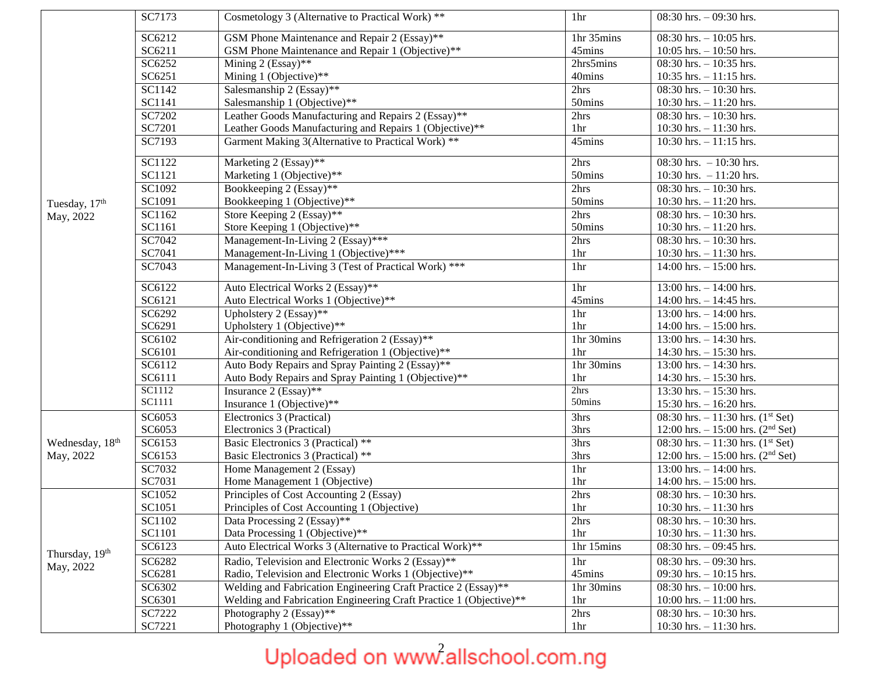|                 | SC7173               | Cosmetology 3 (Alternative to Practical Work) **                   | 1hr             | $08:30$ hrs. $-09:30$ hrs.                      |
|-----------------|----------------------|--------------------------------------------------------------------|-----------------|-------------------------------------------------|
|                 | SC6212               | GSM Phone Maintenance and Repair 2 (Essay)**                       | 1hr 35mins      | 08:30 hrs. $-10:05$ hrs.                        |
|                 | SC6211               | GSM Phone Maintenance and Repair 1 (Objective)**                   | 45mins          | 10:05 hrs. $- 10:50$ hrs.                       |
|                 | SC6252               | Mining 2 (Essay)**                                                 | 2hrs5 mins      | 08:30 hrs. $-10:35$ hrs.                        |
|                 | SC6251               | Mining 1 (Objective)**                                             | 40mins          | 10:35 hrs. $- 11:15$ hrs.                       |
|                 | SC1142               | Salesmanship 2 (Essay)**                                           | 2hrs            | 08:30 hrs. $-10:30$ hrs.                        |
|                 | SC1141               | Salesmanship 1 (Objective)**                                       | 50mins          | 10:30 hrs. $- 11:20$ hrs.                       |
|                 | SC7202               | Leather Goods Manufacturing and Repairs 2 (Essay)**                | 2hrs            | 08:30 hrs. $-10:30$ hrs.                        |
|                 | SC7201               | Leather Goods Manufacturing and Repairs 1 (Objective)**            | 1hr             | 10:30 hrs. $- 11:30$ hrs.                       |
|                 | SC7193               | Garment Making 3(Alternative to Practical Work) **                 | 45mins          | 10:30 hrs. $-11:15$ hrs.                        |
|                 | SC1122               | Marketing 2 (Essay)**                                              | 2hrs            | $08:30$ hrs. $-10:30$ hrs.                      |
|                 | SC1121               | Marketing 1 (Objective)**                                          | 50mins          | 10:30 hrs. $-11:20$ hrs.                        |
|                 | SC1092               | Bookkeeping 2 (Essay)**                                            | 2hrs            | $08:30$ hrs. $-10:30$ hrs.                      |
| Tuesday, 17th   | SC1091               | Bookkeeping 1 (Objective)**                                        | 50mins          | 10:30 hrs. $- 11:20$ hrs.                       |
| May, 2022       | SC1162               | Store Keeping 2 (Essay)**                                          | 2hrs            | 08:30 hrs. $-10:30$ hrs.                        |
|                 | SC1161               | Store Keeping 1 (Objective)**                                      | 50mins          | 10:30 hrs. $-11:20$ hrs.                        |
|                 | SC7042               | Management-In-Living 2 (Essay)***                                  | 2hrs            | 08:30 hrs. $-10:30$ hrs.                        |
|                 | SC7041               | Management-In-Living 1 (Objective)***                              | 1hr             | 10:30 hrs. $- 11:30$ hrs.                       |
|                 | SC7043               | Management-In-Living 3 (Test of Practical Work) ***                | 1hr             | $14:00$ hrs. $- 15:00$ hrs.                     |
|                 | $\overline{SC6}$ 122 | Auto Electrical Works 2 (Essay)**                                  | 1hr             | 13:00 hrs. $- 14:00$ hrs.                       |
|                 | SC6121               | Auto Electrical Works 1 (Objective)**                              | 45mins          | 14:00 hrs. $- 14:45$ hrs.                       |
|                 | SC6292               | Upholstery 2 (Essay)**                                             | 1hr             | 13:00 hrs. $-14:00$ hrs.                        |
|                 | SC6291               | Upholstery 1 (Objective)**                                         | 1 <sub>hr</sub> | 14:00 hrs. $- 15:00$ hrs.                       |
|                 | SC6102               | Air-conditioning and Refrigeration 2 (Essay)**                     | 1hr 30mins      | 13:00 hrs. $- 14:30$ hrs.                       |
|                 | SC6101               | Air-conditioning and Refrigeration 1 (Objective)**                 | 1hr             | 14:30 hrs. $- 15:30$ hrs.                       |
|                 | SC6112               | Auto Body Repairs and Spray Painting 2 (Essay)**                   | 1hr 30mins      | 13:00 hrs. $- 14:30$ hrs.                       |
|                 | SC6111               | Auto Body Repairs and Spray Painting 1 (Objective)**               | 1hr             | 14:30 hrs. $- 15:30$ hrs.                       |
|                 | SC1112               | Insurance $2$ (Essay)**                                            | 2hrs            | 13:30 hrs. $- 15:30$ hrs.                       |
|                 | SC1111               | Insurance 1 (Objective)**                                          | 50mins          | 15:30 hrs. $- 16:20$ hrs.                       |
|                 | SC6053               | Electronics 3 (Practical)                                          | 3hrs            | 08:30 hrs. $-11:30$ hrs. (1 <sup>st</sup> Set)  |
|                 | SC6053               | Electronics 3 (Practical)                                          | 3hrs            | 12:00 hrs. $- 15:00$ hrs. (2 <sup>nd</sup> Set) |
| Wednesday, 18th | SC6153               | Basic Electronics 3 (Practical) **                                 | 3hrs            | 08:30 hrs. $-11:30$ hrs. (1 <sup>st</sup> Set)  |
| May, 2022       | SC6153               | Basic Electronics 3 (Practical) **                                 | 3hrs            | 12:00 hrs. $- 15:00$ hrs. (2 <sup>nd</sup> Set) |
|                 | SC7032               | Home Management 2 (Essay)                                          | 1hr             | 13:00 hrs. $- 14:00$ hrs.                       |
|                 | SC7031               | Home Management 1 (Objective)                                      | 1hr             | 14:00 hrs. $- 15:00$ hrs.                       |
|                 | SC1052               | Principles of Cost Accounting 2 (Essay)                            | 2hrs            | 08:30 hrs. $-10:30$ hrs.                        |
|                 | SC1051               | Principles of Cost Accounting 1 (Objective)                        | 1 <sup>hr</sup> | 10:30 hrs. $- 11:30$ hrs                        |
|                 | SC1102               | Data Processing 2 (Essay)**                                        | 2hrs            | $08:30$ hrs. $-10:30$ hrs.                      |
|                 | SC1101               | Data Processing 1 (Objective)**                                    | 1hr             | 10:30 hrs. $- 11:30$ hrs.                       |
| Thursday, 19th  | SC6123               | Auto Electrical Works 3 (Alternative to Practical Work)**          | 1hr 15mins      | 08:30 hrs. $-$ 09:45 hrs.                       |
| May, 2022       | SC6282               | Radio, Television and Electronic Works 2 (Essay)**                 | 1hr             | 08:30 hrs. $-$ 09:30 hrs.                       |
|                 | SC6281               | Radio, Television and Electronic Works 1 (Objective)**             | 45mins          | 09:30 hrs. $-10:15$ hrs.                        |
|                 | SC6302               | Welding and Fabrication Engineering Craft Practice 2 (Essay)**     | 1hr 30mins      | 08:30 hrs. $-10:00$ hrs.                        |
|                 | SC6301               | Welding and Fabrication Engineering Craft Practice 1 (Objective)** | 1hr             | 10:00 hrs. $- 11:00$ hrs.                       |
|                 | SC7222               | Photography 2 (Essay)**                                            | 2hrs            | 08:30 hrs. $-10:30$ hrs.                        |
|                 | SC7221               | Photography 1 (Objective)**                                        | 1 <sub>hr</sub> | 10:30 hrs. $- 11:30$ hrs.                       |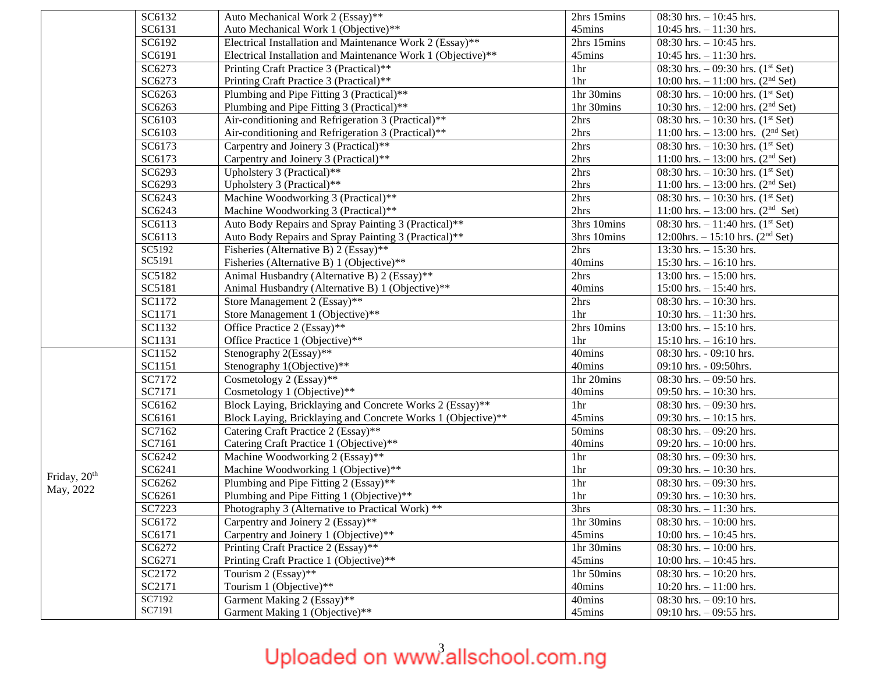|                          | SC6132 | Auto Mechanical Work 2 (Essay)**                             | 2hrs 15mins | 08:30 hrs. $-10:45$ hrs.                        |
|--------------------------|--------|--------------------------------------------------------------|-------------|-------------------------------------------------|
|                          | SC6131 | Auto Mechanical Work 1 (Objective)**                         | 45mins      | 10:45 hrs. $- 11:30$ hrs.                       |
|                          | SC6192 | Electrical Installation and Maintenance Work 2 (Essay)**     | 2hrs 15mins | 08:30 hrs. $-10:45$ hrs.                        |
|                          | SC6191 | Electrical Installation and Maintenance Work 1 (Objective)** | 45mins      | 10:45 hrs. $- 11:30$ hrs.                       |
|                          | SC6273 | Printing Craft Practice 3 (Practical)**                      | 1hr         | 08:30 hrs. $-$ 09:30 hrs. (1 <sup>st</sup> Set) |
|                          | SC6273 | Printing Craft Practice 3 (Practical)**                      | 1hr         | 10:00 hrs. $-11:00$ hrs. (2 <sup>nd</sup> Set)  |
|                          | SC6263 | Plumbing and Pipe Fitting 3 (Practical)**                    | 1hr 30mins  | 08:30 hrs. $-10:00$ hrs. $(1st Set)$            |
|                          | SC6263 | Plumbing and Pipe Fitting 3 (Practical)**                    | 1hr 30mins  | 10:30 hrs. $- 12:00$ hrs. (2 <sup>nd</sup> Set) |
|                          | SC6103 | Air-conditioning and Refrigeration 3 (Practical)**           | 2hrs        | 08:30 hrs. $-10:30$ hrs. (1 <sup>st</sup> Set)  |
|                          | SC6103 | Air-conditioning and Refrigeration 3 (Practical)**           | 2hrs        | 11:00 hrs. $- 13:00$ hrs. $(2nd Set)$           |
|                          | SC6173 | Carpentry and Joinery 3 (Practical)**                        | 2hrs        | 08:30 hrs. $-10:30$ hrs. $(1st Set)$            |
|                          | SC6173 | Carpentry and Joinery 3 (Practical)**                        | 2hrs        | 11:00 hrs. $- 13:00$ hrs. (2 <sup>nd</sup> Set) |
|                          | SC6293 | Upholstery 3 (Practical)**                                   | 2hrs        | 08:30 hrs. $-10:30$ hrs. (1 <sup>st</sup> Set)  |
|                          | SC6293 | Upholstery 3 (Practical)**                                   | 2hrs        | 11:00 hrs. $- 13:00$ hrs. (2 <sup>nd</sup> Set) |
|                          | SC6243 | Machine Woodworking 3 (Practical)**                          | 2hrs        | 08:30 hrs. $-10:30$ hrs. $(1st Set)$            |
|                          | SC6243 | Machine Woodworking 3 (Practical)**                          | 2hrs        | 11:00 hrs. $- 13:00$ hrs. (2 <sup>nd</sup> Set) |
|                          | SC6113 | Auto Body Repairs and Spray Painting 3 (Practical)**         | 3hrs 10mins | 08:30 hrs. $-11:40$ hrs. (1 <sup>st</sup> Set)  |
|                          | SC6113 | Auto Body Repairs and Spray Painting 3 (Practical)**         | 3hrs 10mins | 12:00hrs. $- 15:10$ hrs. (2 <sup>nd</sup> Set)  |
|                          | SC5192 | Fisheries (Alternative B) 2 (Essay)**                        | 2hrs        | 13:30 hrs. $-15:30$ hrs.                        |
|                          | SC5191 | Fisheries (Alternative B) 1 (Objective)**                    | 40mins      | $15:30$ hrs. $-16:10$ hrs.                      |
|                          | SC5182 | Animal Husbandry (Alternative B) 2 (Essay)**                 | 2hrs        | 13:00 hrs. $- 15:00$ hrs.                       |
|                          | SC5181 | Animal Husbandry (Alternative B) 1 (Objective)**             | 40mins      | 15:00 hrs. $- 15:40$ hrs.                       |
|                          | SC1172 | Store Management 2 (Essay)**                                 | 2hrs        | 08:30 hrs. $-10:30$ hrs.                        |
|                          | SC1171 | Store Management 1 (Objective)**                             | 1hr         | 10:30 hrs. $- 11:30$ hrs.                       |
|                          | SC1132 | Office Practice 2 (Essay)**                                  | 2hrs 10mins | 13:00 hrs. $- 15:10$ hrs.                       |
|                          | SC1131 | Office Practice 1 (Objective)**                              | 1hr         | $15:10$ hrs. $- 16:10$ hrs.                     |
|                          | SC1152 | Stenography 2(Essay)**                                       | 40mins      | 08:30 hrs. - 09:10 hrs.                         |
|                          | SC1151 | Stenography 1(Objective)**                                   | 40mins      | 09:10 hrs. - 09:50hrs.                          |
|                          | SC7172 | Cosmetology 2 (Essay)**                                      | 1hr 20mins  | 08:30 hrs. $-$ 09:50 hrs.                       |
|                          | SC7171 | Cosmetology 1 (Objective)**                                  | 40mins      | 09:50 hrs. $-10:30$ hrs.                        |
|                          | SC6162 | Block Laying, Bricklaying and Concrete Works 2 (Essay)**     | 1hr         | 08:30 hrs. $-$ 09:30 hrs.                       |
|                          | SC6161 | Block Laying, Bricklaying and Concrete Works 1 (Objective)** | 45mins      | 09:30 hrs. $-10:15$ hrs.                        |
|                          | SC7162 | Catering Craft Practice 2 (Essay)**                          | 50mins      | 08:30 hrs. $-$ 09:20 hrs.                       |
|                          | SC7161 | Catering Craft Practice 1 (Objective)**                      | 40mins      | 09:20 hrs. $-10:00$ hrs.                        |
|                          | SC6242 | Machine Woodworking 2 (Essay)**                              | 1hr         | 08:30 hrs. $-$ 09:30 hrs.                       |
| Friday, 20 <sup>th</sup> | SC6241 | Machine Woodworking 1 (Objective)**                          | 1hr         | 09:30 hrs. $-10:30$ hrs.                        |
| May, 2022                | SC6262 | Plumbing and Pipe Fitting 2 (Essay)**                        | 1hr         | 08:30 hrs. $-$ 09:30 hrs.                       |
|                          | SC6261 | Plumbing and Pipe Fitting 1 (Objective)**                    | 1hr         | 09:30 hrs. $-10:30$ hrs.                        |
|                          | SC7223 | Photography 3 (Alternative to Practical Work) **             | 3hrs        | $\overline{08:}30$ hrs. $-11:30$ hrs.           |
|                          | SC6172 | Carpentry and Joinery 2 (Essay)**                            | 1hr 30mins  | 08:30 hrs. $-10:00$ hrs.                        |
|                          | SC6171 | Carpentry and Joinery 1 (Objective)**                        | 45mins      | 10:00 hrs. $- 10:45$ hrs.                       |
|                          | SC6272 | Printing Craft Practice 2 (Essay)**                          | 1hr 30mins  | 08:30 hrs. $-10:00$ hrs.                        |
|                          | SC6271 | Printing Craft Practice 1 (Objective)**                      | 45mins      | 10:00 hrs. $- 10:45$ hrs.                       |
|                          | SC2172 | Tourism $2 \overline{(Essay)^{**}}$                          | 1hr 50mins  | 08:30 hrs. $-10:20$ hrs.                        |
|                          | SC2171 | Tourism 1 (Objective)**                                      | 40mins      | 10:20 hrs. $- 11:00$ hrs.                       |
|                          | SC7192 | Garment Making 2 (Essay)**                                   | 40mins      | 08:30 hrs. $-$ 09:10 hrs.                       |
|                          | SC7191 | Garment Making 1 (Objective)**                               | 45mins      | 09:10 hrs. $-$ 09:55 hrs.                       |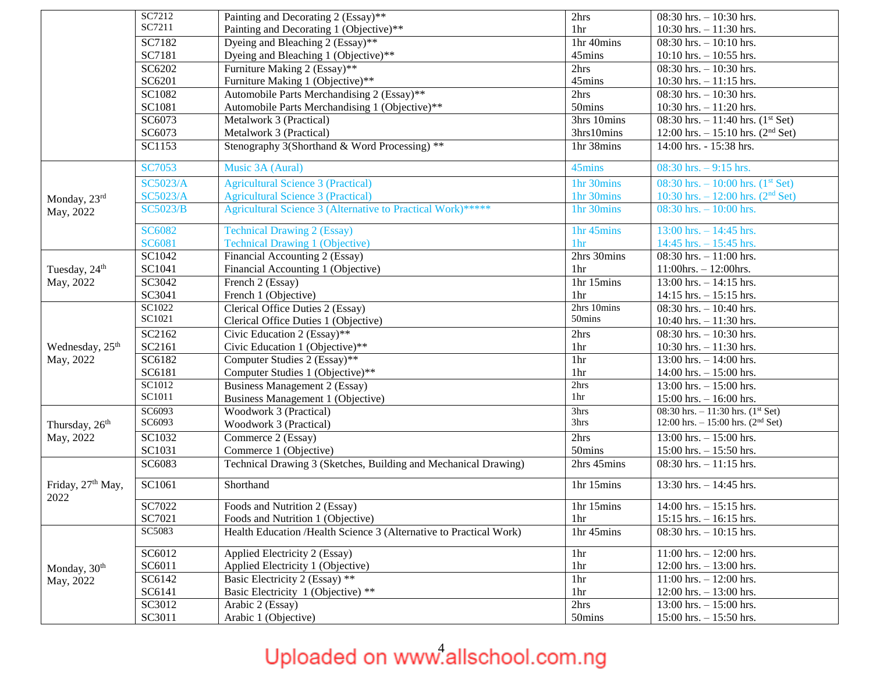|                             | SC7212          | Painting and Decorating 2 (Essay)**                                | 2hrs        | $08:30$ hrs. $-10:30$ hrs.                      |
|-----------------------------|-----------------|--------------------------------------------------------------------|-------------|-------------------------------------------------|
|                             | SC7211          | Painting and Decorating 1 (Objective)**                            | 1hr         | 10:30 hrs. $- 11:30$ hrs.                       |
|                             | SC7182          | Dyeing and Bleaching 2 (Essay)**                                   | 1hr 40mins  | 08:30 hrs. $-10:10$ hrs.                        |
|                             | SC7181          | Dyeing and Bleaching 1 (Objective)**                               | 45mins      | $10:10$ hrs. $-10:55$ hrs.                      |
|                             | SC6202          | Furniture Making 2 (Essay)**                                       | 2hrs        | 08:30 hrs. $-10:30$ hrs.                        |
|                             | SC6201          | Furniture Making 1 (Objective)**                                   | 45mins      | 10:30 hrs. $- 11:15$ hrs.                       |
|                             | SC1082          | Automobile Parts Merchandising 2 (Essay)**                         | 2hrs        | 08:30 hrs. $-10:30$ hrs.                        |
|                             | SC1081          | Automobile Parts Merchandising 1 (Objective)**                     | 50mins      | 10:30 hrs. $- 11:20$ hrs.                       |
|                             | SC6073          | Metalwork 3 (Practical)                                            | 3hrs 10mins | 08:30 hrs. $-11:40$ hrs. (1 <sup>st</sup> Set)  |
|                             | SC6073          | Metalwork 3 (Practical)                                            | 3hrs10mins  | 12:00 hrs. $- 15:10$ hrs. (2 <sup>nd</sup> Set) |
|                             | SC1153          | Stenography 3(Shorthand & Word Processing) **                      | 1hr 38mins  | 14:00 hrs. - 15:38 hrs.                         |
|                             | <b>SC7053</b>   | Music 3A (Aural)                                                   | 45mins      | 08:30 hrs. $-9:15$ hrs.                         |
|                             | <b>SC5023/A</b> | <b>Agricultural Science 3 (Practical)</b>                          | 1hr 30mins  | 08:30 hrs. $-10:00$ hrs. $(1st Set)$            |
| Monday, 23rd                | <b>SC5023/A</b> | <b>Agricultural Science 3 (Practical)</b>                          | 1hr 30mins  | 10:30 hrs. $- 12:00$ hrs. $(2nd Set)$           |
| May, 2022                   | <b>SC5023/B</b> | Agricultural Science 3 (Alternative to Practical Work)*****        | 1hr 30mins  | $08:30$ hrs. $-10:00$ hrs.                      |
|                             |                 |                                                                    |             |                                                 |
|                             | <b>SC6082</b>   | <b>Technical Drawing 2 (Essay)</b>                                 | 1hr 45mins  | $13:00$ hrs. $-14:45$ hrs.                      |
|                             | SC6081          | <b>Technical Drawing 1 (Objective)</b>                             | 1hr         | 14:45 hrs. $- 15:45$ hrs.                       |
|                             | SC1042          | Financial Accounting 2 (Essay)                                     | 2hrs 30mins | 08:30 hrs. $-11:00$ hrs.                        |
| Tuesday, 24 <sup>th</sup>   | SC1041          | Financial Accounting 1 (Objective)                                 | 1hr         | $11:00$ hrs. - $12:00$ hrs.                     |
| May, 2022                   | SC3042          | French 2 (Essay)                                                   | 1hr 15mins  | $13:00$ hrs. $-14:15$ hrs.                      |
|                             | SC3041          | French 1 (Objective)                                               | 1hr         | $14:15$ hrs. $-15:15$ hrs.                      |
|                             | SC1022          | Clerical Office Duties 2 (Essay)                                   | 2hrs 10mins | 08:30 hrs. $-10:40$ hrs.                        |
|                             | SC1021          | Clerical Office Duties 1 (Objective)                               | 50mins      | 10:40 hrs. $- 11:30$ hrs.                       |
|                             | SC2162          | Civic Education 2 (Essay)**                                        | 2hrs        | 08:30 hrs. $-10:30$ hrs.                        |
| Wednesday, 25 <sup>th</sup> | SC2161          | Civic Education 1 (Objective)**                                    | 1hr         | 10:30 hrs. $- 11:30$ hrs.                       |
| May, 2022                   | SC6182          | Computer Studies 2 (Essay)**                                       | 1hr         | 13:00 hrs. $- 14:00$ hrs.                       |
|                             | SC6181          | Computer Studies 1 (Objective)**                                   | 1hr         | 14:00 hrs. $- 15:00$ hrs.                       |
|                             | SC1012          | <b>Business Management 2 (Essay)</b>                               | 2hrs        | 13:00 hrs. $- 15:00$ hrs.                       |
|                             | SC1011          | Business Management 1 (Objective)                                  | 1hr         | 15:00 hrs. $- 16:00$ hrs.                       |
|                             | SC6093          | Woodwork 3 (Practical)                                             | 3hrs        | 08:30 hrs. $-11:30$ hrs. $(1st Set)$            |
| Thursday, 26 <sup>th</sup>  | SC6093          | Woodwork 3 (Practical)                                             | 3hrs        | 12:00 hrs. $- 15:00$ hrs. (2 <sup>nd</sup> Set) |
| May, 2022                   | SC1032          | Commerce 2 (Essay)                                                 | 2hrs        | 13:00 hrs. $-15:00$ hrs.                        |
|                             | SC1031          | Commerce 1 (Objective)                                             | 50mins      | $15:00$ hrs. $- 15:50$ hrs.                     |
|                             | SC6083          | Technical Drawing 3 (Sketches, Building and Mechanical Drawing)    | 2hrs 45mins | 08:30 hrs. $-11:15$ hrs.                        |
| Friday, 27th May,<br>2022   | SC1061          | Shorthand                                                          | 1hr 15mins  | 13:30 hrs. $- 14:45$ hrs.                       |
|                             | SC7022          | Foods and Nutrition 2 (Essay)                                      | 1hr 15mins  | $14:00$ hrs. $-15:15$ hrs.                      |
|                             | SC7021          | Foods and Nutrition 1 (Objective)                                  | 1hr         | $15:15$ hrs. $-16:15$ hrs.                      |
|                             | SC5083          | Health Education /Health Science 3 (Alternative to Practical Work) | 1hr 45mins  | $08:30$ hrs. $-10:15$ hrs.                      |
|                             | SC6012          | Applied Electricity 2 (Essay)                                      | 1hr         | 11:00 hrs. $- 12:00$ hrs.                       |
| Monday, 30 <sup>th</sup>    | SC6011          | Applied Electricity 1 (Objective)                                  | 1hr         | 12:00 hrs. $- 13:00$ hrs.                       |
| May, 2022                   | SC6142          | Basic Electricity 2 (Essay) **                                     | 1hr         | $11:00$ hrs. $-12:00$ hrs.                      |
|                             | SC6141          | Basic Electricity 1 (Objective) **                                 | 1hr         | 12:00 hrs. $- 13:00$ hrs.                       |
|                             | SC3012          | Arabic 2 (Essay)                                                   | 2hrs        | 13:00 hrs. $- 15:00$ hrs.                       |
|                             | SC3011          | Arabic 1 (Objective)                                               | 50mins      | $15:00$ hrs. $- 15:50$ hrs.                     |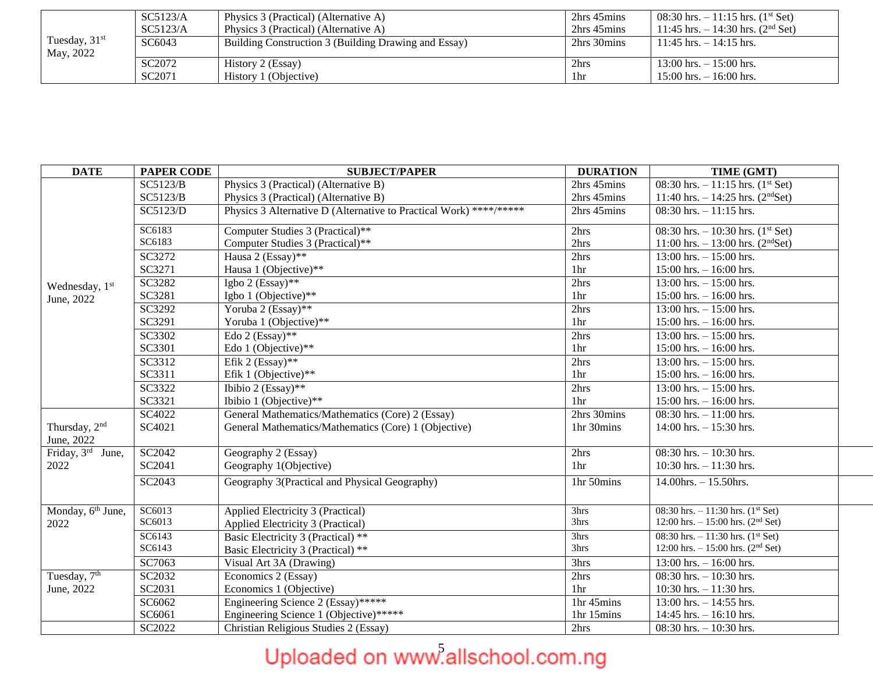|                 | SC5123/A           | Physics 3 (Practical) (Alternative A)                | 2hrs 45mins | 08:30 hrs. $-11:15$ hrs. (1 <sup>st</sup> Set) |
|-----------------|--------------------|------------------------------------------------------|-------------|------------------------------------------------|
|                 | SC5123/A           | Physics 3 (Practical) (Alternative A)                | 2hrs 45mins | 11:45 hrs. $-14:30$ hrs. $(2nd Set)$           |
| Tuesday, $31st$ | SC6043             | Building Construction 3 (Building Drawing and Essay) | 2hrs 30mins | $11:45$ hrs. $-14:15$ hrs.                     |
| May, 2022       |                    |                                                      |             |                                                |
|                 | SC <sub>2072</sub> | History 2 (Essay)                                    | 2hrs        | $13:00$ hrs. $-15:00$ hrs.                     |
|                 | SC <sub>2071</sub> | History 1 (Objective)                                | 1hr         | $15:00$ hrs. $-16:00$ hrs.                     |

| <b>DATE</b>                                 | <b>PAPER CODE</b> | <b>SUBJECT/PAPER</b>                                               | <b>DURATION</b> | TIME (GMT)                                      |
|---------------------------------------------|-------------------|--------------------------------------------------------------------|-----------------|-------------------------------------------------|
|                                             | <b>SC5123/B</b>   | Physics 3 (Practical) (Alternative B)                              | 2hrs 45mins     | 08:30 hrs. $-11:15$ hrs. $(1st Set)$            |
|                                             | SC5123/B          | Physics 3 (Practical) (Alternative B)                              | 2hrs 45mins     | 11:40 hrs. $- 14:25$ hrs. (2 <sup>nd</sup> Set) |
|                                             | SC5123/D          | Physics 3 Alternative D (Alternative to Practical Work) ****/***** | 2hrs 45mins     | $08:30$ hrs. $-11:15$ hrs.                      |
|                                             | SC6183            | Computer Studies 3 (Practical)**                                   | 2hrs            | 08:30 hrs. $-10:30$ hrs. $(1st Set)$            |
|                                             | SC6183            | Computer Studies 3 (Practical)**                                   | 2hrs            | 11:00 hrs. $-13:00$ hrs. (2 <sup>nd</sup> Set)  |
|                                             | SC3272            | Hausa 2 (Essay)**                                                  | 2hrs            | 13:00 hrs. $- 15:00$ hrs.                       |
|                                             | SC3271            | Hausa 1 (Objective)**                                              | 1hr             | $15:00$ hrs. $- 16:00$ hrs.                     |
| Wednesday, 1st                              | SC3282            | Igbo 2 (Essay)**                                                   | 2hrs            | 13:00 hrs. $- 15:00$ hrs.                       |
| June, 2022                                  | SC3281            | Igbo 1 (Objective)**                                               | 1hr             | $15:00$ hrs. $- 16:00$ hrs.                     |
|                                             | SC3292            | Yoruba 2 (Essay)**                                                 | 2hrs            | $13:00$ hrs. $-15:00$ hrs.                      |
|                                             | SC3291            | Yoruba 1 (Objective)**                                             | 1hr             | $15:00$ hrs. $- 16:00$ hrs.                     |
|                                             | SC3302            | Edo 2 (Essay)**                                                    | 2hrs            | 13:00 hrs. $- 15:00$ hrs.                       |
|                                             | SC3301            | Edo 1 (Objective)**                                                | 1hr             | $15:00$ hrs. $-16:00$ hrs.                      |
|                                             | SC3312            | Efik 2 (Essay)**                                                   | 2hrs            | 13:00 hrs. $- 15:00$ hrs.                       |
|                                             | SC3311            | Efik 1 (Objective)**                                               | 1hr             | $15:00$ hrs. $-16:00$ hrs.                      |
|                                             | SC3322            | Ibibio 2 (Essay)**                                                 | 2hrs            | 13:00 hrs. $- 15:00$ hrs.                       |
|                                             | SC3321            | Ibibio 1 (Objective)**                                             | 1hr             | $15:00$ hrs. $-16:00$ hrs.                      |
|                                             | SC4022            | General Mathematics/Mathematics (Core) 2 (Essay)                   | 2hrs 30mins     | 08:30 hrs. $-11:00$ hrs.                        |
| Thursday, 2 <sup>nd</sup><br>June, 2022     | SC4021            | General Mathematics/Mathematics (Core) 1 (Objective)               | 1hr 30mins      | $14:00$ hrs. $-15:30$ hrs.                      |
| Friday, $3^{\overline{\text{rd}}}$<br>June, | SC2042            | Geography 2 (Essay)                                                | 2hrs            | 08:30 hrs. $-10:30$ hrs.                        |
| 2022                                        | SC2041            | Geography 1(Objective)                                             | 1hr             | 10:30 hrs. $-11:30$ hrs.                        |
|                                             | SC2043            | Geography 3(Practical and Physical Geography)                      | 1hr 50mins      | $14.00$ hrs. $- 15.50$ hrs.                     |
| Monday, 6 <sup>th</sup> June,               | SC6013            | Applied Electricity 3 (Practical)                                  | 3hrs            | 08:30 hrs. $-11:30$ hrs. $(1st Set)$            |
| 2022                                        | SC6013            | Applied Electricity 3 (Practical)                                  | 3hrs            | 12:00 hrs. $- 15:00$ hrs. (2 <sup>nd</sup> Set) |
|                                             | SC6143            | Basic Electricity 3 (Practical) **                                 | 3hrs            | 08:30 hrs. $-11:30$ hrs. $(1st Set)$            |
|                                             | SC6143            | Basic Electricity 3 (Practical) **                                 | 3hrs            | 12:00 hrs. $- 15:00$ hrs. (2 <sup>nd</sup> Set) |
|                                             | SC7063            | Visual Art 3A (Drawing)                                            | 3hrs            | 13:00 hrs. $-16:00$ hrs.                        |
| Tuesday, $\overline{7^{th}}$                | SC2032            | Economics 2 (Essay)                                                | 2hrs            | $08:30$ hrs. $-10:30$ hrs.                      |
| June, 2022                                  | SC2031            | Economics 1 (Objective)                                            | 1hr             | 10:30 hrs. $- 11:30$ hrs.                       |
|                                             | SC6062            | Engineering Science 2 (Essay)******                                | 1hr 45mins      | 13:00 hrs. $-14:55$ hrs.                        |
|                                             | SC6061            | Engineering Science 1 (Objective)*****                             | 1hr 15mins      | 14:45 hrs. $- 16:10$ hrs.                       |
|                                             | SC2022            | Christian Religious Studies 2 (Essay)                              | 2hrs            | 08:30 hrs. $-10:30$ hrs.                        |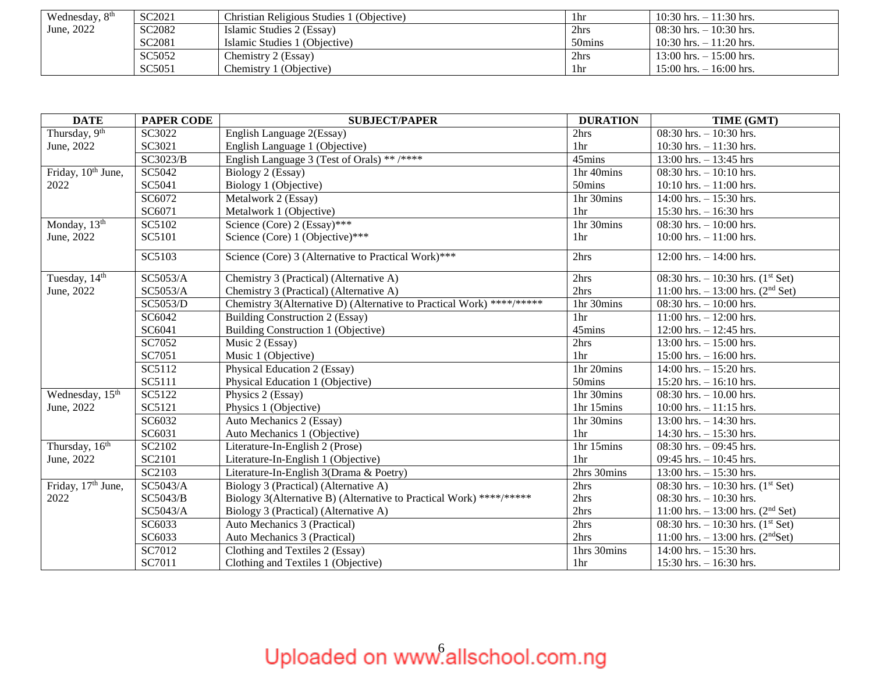| Wednesday, 8 <sup>th</sup> | SC2021             | Christian Religious Studies 1 (Objective) | 1hr                | $10:30$ hrs. $-11:30$ hrs.  |
|----------------------------|--------------------|-------------------------------------------|--------------------|-----------------------------|
| June, 2022                 | SC2082             | Islamic Studies 2 (Essay)                 | 2hrs               | $108:30$ hrs. $-10:30$ hrs. |
|                            | SC <sub>2081</sub> | Islamic Studies 1 (Objective)             | 50 <sub>mins</sub> | $10:30$ hrs. $-11:20$ hrs.  |
|                            | SC5052             | Chemistry 2 (Essay)                       | 2hrs               | $13:00$ hrs. $-15:00$ hrs.  |
|                            | SC5051             | Chemistry 1 (Objective)                   | 1hr                | $15:00$ hrs. $-16:00$ hrs.  |

| <b>DATE</b>                    | <b>PAPER CODE</b> | <b>SUBJECT/PAPER</b>                                                  | <b>DURATION</b> | TIME (GMT)                                      |
|--------------------------------|-------------------|-----------------------------------------------------------------------|-----------------|-------------------------------------------------|
| Thursday, 9th                  | SC3022            | English Language 2(Essay)                                             | 2hrs            | 08:30 hrs. $-10:30$ hrs.                        |
| June, 2022                     | SC3021            | English Language 1 (Objective)                                        | 1 <sub>hr</sub> | 10:30 hrs. $-11:30$ hrs.                        |
|                                | SC3023/B          | English Language 3 (Test of Orals) ** /****                           | 45mins          | 13:00 hrs. $- 13:45$ hrs                        |
| Friday, 10 <sup>th</sup> June, | SC5042            | Biology 2 (Essay)                                                     | 1hr 40mins      | $08:30$ hrs. $-10:10$ hrs.                      |
| 2022                           | SC5041            | Biology 1 (Objective)                                                 | 50mins          | $10:10$ hrs. $-11:00$ hrs.                      |
|                                | SC6072            | Metalwork 2 (Essay)                                                   | 1hr 30mins      | 14:00 hrs. $- 15:30$ hrs.                       |
|                                | SC6071            | Metalwork 1 (Objective)                                               | 1hr             | 15:30 hrs. $- 16:30$ hrs                        |
| Monday, 13 <sup>th</sup>       | SC5102            | Science (Core) 2 (Essay)***                                           | 1hr 30mins      | 08:30 hrs. $-10:00$ hrs.                        |
| June, 2022                     | SC5101            | Science (Core) 1 (Objective)***                                       | 1hr             | 10:00 hrs. $- 11:00$ hrs.                       |
|                                | SC5103            | Science (Core) 3 (Alternative to Practical Work)***                   | 2hrs            | 12:00 hrs. $- 14:00$ hrs.                       |
| Tuesday, 14 <sup>th</sup>      | SC5053/A          | Chemistry 3 (Practical) (Alternative A)                               | 2hrs            | 08:30 hrs. $-10:30$ hrs. $(1st Set)$            |
| June, 2022                     | SC5053/A          | Chemistry 3 (Practical) (Alternative A)                               | 2hrs            | 11:00 hrs. $-13:00$ hrs. (2 <sup>nd</sup> Set)  |
|                                | SC5053/D          | Chemistry 3(Alternative D) (Alternative to Practical Work) ****/***** | 1hr 30mins      | 08:30 hrs. $-10:00$ hrs.                        |
|                                | SC6042            | Building Construction 2 (Essay)                                       | 1 <sub>hr</sub> | $11:00$ hrs. $-12:00$ hrs.                      |
|                                | SC6041            | Building Construction 1 (Objective)                                   | 45mins          | $12:00$ hrs. $-12:45$ hrs.                      |
|                                | SC7052            | Music 2 (Essay)                                                       | 2hrs            | 13:00 hrs. $- 15:00$ hrs.                       |
|                                | SC7051            | Music 1 (Objective)                                                   | 1 <sub>hr</sub> | $15:00$ hrs. $- 16:00$ hrs.                     |
|                                | SC5112            | Physical Education 2 (Essay)                                          | 1hr 20mins      | $14:00$ hrs. $-15:20$ hrs.                      |
|                                | SC5111            | Physical Education 1 (Objective)                                      | 50mins          | 15:20 hrs. $- 16:10$ hrs.                       |
| Wednesday, 15 <sup>th</sup>    | SC5122            | Physics 2 (Essay)                                                     | 1hr 30mins      | 08:30 hrs. $-10.00$ hrs.                        |
| June, 2022                     | SC5121            | Physics 1 (Objective)                                                 | 1hr 15mins      | 10:00 hrs. $- 11:15$ hrs.                       |
|                                | SC6032            | Auto Mechanics 2 (Essay)                                              | 1hr 30mins      | 13:00 hrs. $- 14:30$ hrs.                       |
|                                | SC6031            | Auto Mechanics 1 (Objective)                                          | 1hr             | 14:30 hrs. $- 15:30$ hrs.                       |
| Thursday, 16th                 | SC2102            | Literature-In-English 2 (Prose)                                       | 1hr 15mins      | 08:30 hrs. $-$ 09:45 hrs.                       |
| June, 2022                     | SC2101            | Literature-In-English 1 (Objective)                                   | 1 <sub>hr</sub> | 09:45 hrs. $-10:45$ hrs.                        |
|                                | SC2103            | Literature-In-English 3(Drama & Poetry)                               | 2hrs 30mins     | 13:00 hrs. $- 15:30$ hrs.                       |
| Friday, 17 <sup>th</sup> June, | SC5043/A          | Biology 3 (Practical) (Alternative A)                                 | 2hrs            | 08:30 hrs. $-10:30$ hrs. $(1st Set)$            |
| 2022                           | SC5043/B          | Biology 3(Alternative B) (Alternative to Practical Work) ****/*****   | 2hrs            | 08:30 hrs. $-10:30$ hrs.                        |
|                                | SC5043/A          | Biology 3 (Practical) (Alternative A)                                 | 2hrs            | 11:00 hrs. $- 13:00$ hrs. (2 <sup>nd</sup> Set) |
|                                | SC6033            | Auto Mechanics 3 (Practical)                                          | 2hrs            | 08:30 hrs. $-10:30$ hrs. $(1st Set)$            |
|                                | SC6033            | Auto Mechanics 3 (Practical)                                          | 2hrs            | 11:00 hrs. $- 13:00$ hrs. (2 <sup>nd</sup> Set) |
|                                | SC7012            | Clothing and Textiles 2 (Essay)                                       | 1hrs 30mins     | $14:00$ hrs. $-15:30$ hrs.                      |
|                                | SC7011            | Clothing and Textiles 1 (Objective)                                   | 1hr             | 15:30 hrs. $- 16:30$ hrs.                       |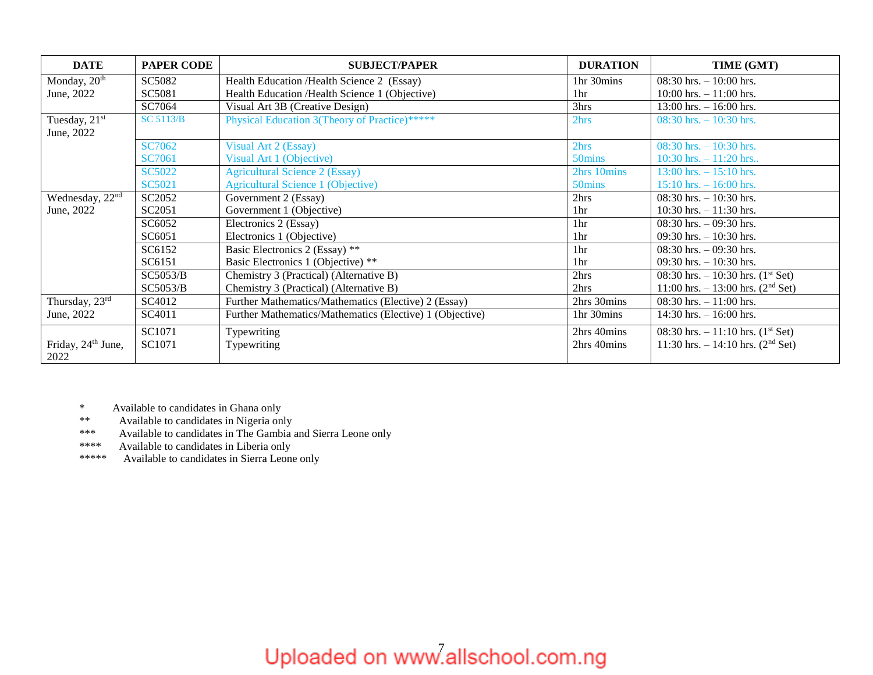| <b>DATE</b>                            | <b>PAPER CODE</b> | <b>SUBJECT/PAPER</b>                                     | <b>DURATION</b>    | TIME (GMT)                                      |
|----------------------------------------|-------------------|----------------------------------------------------------|--------------------|-------------------------------------------------|
| Monday, 20 <sup>th</sup>               | SC5082            | Health Education /Health Science 2 (Essay)               | 1hr 30mins         | 08:30 hrs. $-10:00$ hrs.                        |
| June, 2022                             | SC5081            | Health Education /Health Science 1 (Objective)           | 1 <sup>hr</sup>    | $10:00$ hrs. $-11:00$ hrs.                      |
|                                        | SC7064            | Visual Art 3B (Creative Design)                          | 3hrs               | $13:00$ hrs. $-16:00$ hrs.                      |
| Tuesday, 21 <sup>st</sup>              | <b>SC 5113/B</b>  | Physical Education 3(Theory of Practice)*****            | 2hrs               | 08:30 hrs. $-10:30$ hrs.                        |
| June, 2022                             |                   |                                                          |                    |                                                 |
|                                        | <b>SC7062</b>     | <b>Visual Art 2 (Essay)</b>                              | 2hrs               | 08:30 hrs. $-10:30$ hrs.                        |
|                                        | <b>SC7061</b>     | Visual Art 1 (Objective)                                 | 50 <sub>mins</sub> | $10:30$ hrs. $-11:20$ hrs                       |
|                                        | <b>SC5022</b>     | <b>Agricultural Science 2 (Essay)</b>                    | 2hrs 10mins        | $13:00$ hrs. $-15:10$ hrs.                      |
|                                        | SC5021            | Agricultural Science 1 (Objective)                       | 50 mins            | $15:10$ hrs. $- 16:00$ hrs.                     |
| Wednesday, 22 <sup>nd</sup>            | SC2052            | Government 2 (Essay)                                     | 2hrs               | $08:30$ hrs. $-10:30$ hrs.                      |
| June, 2022                             | SC2051            | Government 1 (Objective)                                 | 1hr                | 10:30 hrs. $-11:30$ hrs.                        |
|                                        | SC6052            | Electronics 2 (Essay)                                    | 1 <sub>hr</sub>    | 08:30 hrs. $-$ 09:30 hrs.                       |
|                                        | SC6051            | Electronics 1 (Objective)                                | 1 <sub>hr</sub>    | 09:30 hrs. $-10:30$ hrs.                        |
|                                        | SC6152            | Basic Electronics 2 (Essay) **                           | 1hr                | $08:30$ hrs. $-09:30$ hrs.                      |
|                                        | SC6151            | Basic Electronics 1 (Objective) **                       | 1hr                | 09:30 hrs. $-10:30$ hrs.                        |
|                                        | SC5053/B          | Chemistry 3 (Practical) (Alternative B)                  | 2hrs               | 08:30 hrs. $-10:30$ hrs. $(1st Set)$            |
|                                        | SC5053/B          | Chemistry 3 (Practical) (Alternative B)                  | 2hrs               | 11:00 hrs. $- 13:00$ hrs. (2 <sup>nd</sup> Set) |
| Thursday, 23rd                         | SC4012            | Further Mathematics/Mathematics (Elective) 2 (Essay)     | 2hrs 30mins        | 08:30 hrs. $-11:00$ hrs.                        |
| June, 2022                             | SC4011            | Further Mathematics/Mathematics (Elective) 1 (Objective) | 1hr 30mins         | $14:30$ hrs. $-16:00$ hrs.                      |
|                                        | SC1071            | Typewriting                                              | 2hrs 40mins        | 08:30 hrs. $-11:10$ hrs. (1 <sup>st</sup> Set)  |
| Friday, 24 <sup>th</sup> June,<br>2022 | SC1071            | Typewriting                                              | 2hrs 40mins        | 11:30 hrs. $-14:10$ hrs. (2 <sup>nd</sup> Set)  |

\* Available to candidates in Ghana only

\*\* Available to candidates in Nigeria only

\*\*\* Available to candidates in The Gambia and Sierra Leone only

\*\*\*\* Available to candidates in Liberia only

\*\*\*\*\* Available to candidates in Sierra Leone only